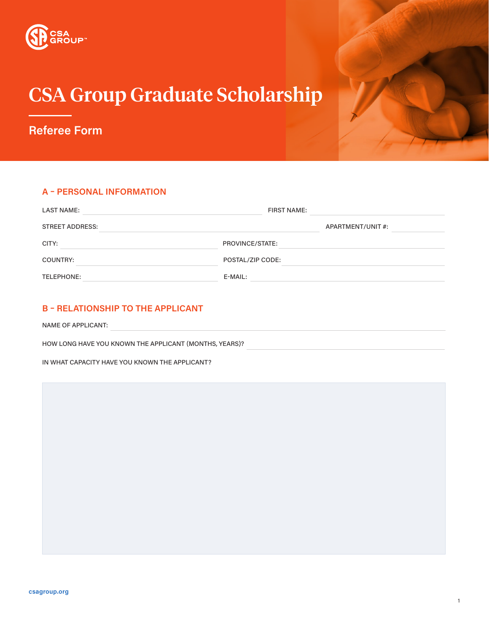

# CSA Group Graduate Scholarship

**Referee Form**

## **A – PERSONAL INFORMATION**

| <b>LAST NAME:</b> | <b>FIRST NAME:</b> |                   |
|-------------------|--------------------|-------------------|
| STREET ADDRESS:   |                    | APARTMENT/UNIT #: |
| CITY:             | PROVINCE/STATE:    |                   |
| COUNTRY:          | POSTAL/ZIP CODE:   |                   |
| TELEPHONE:        | E-MAIL:            |                   |

# **B – RELATIONSHIP TO THE APPLICANT**

NAME OF APPLICANT:

HOW LONG HAVE YOU KNOWN THE APPLICANT (MONTHS, YEARS)?

IN WHAT CAPACITY HAVE YOU KNOWN THE APPLICANT?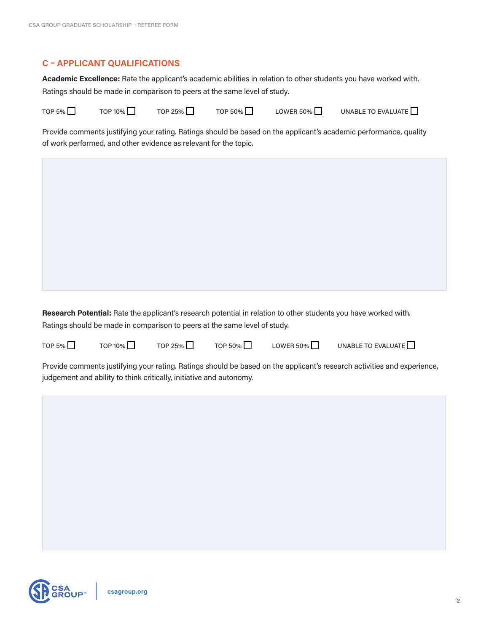## **C – APPLICANT QUALIFICATIONS**

**Academic Excellence:** Rate the applicant's academic abilities in relation to other students you have worked with. Ratings should be made in comparison to peers at the same level of study.

TOP 5%  $\Box$   $\qquad$  TOP 10%  $\Box$   $\qquad$  TOP 25%  $\Box$   $\qquad$  TOP 50%  $\Box$   $\qquad$  LOWER 50%  $\Box$   $\qquad$  UNABLE TO EVALUATE  $\Box$ 

Provide comments justifying your rating. Ratings should be based on the applicant's academic performance, quality of work performed, and other evidence as relevant for the topic.

**Research Potential:** Rate the applicant's research potential in relation to other students you have worked with. Ratings should be made in comparison to peers at the same level of study.



TOP 5%  $\Box$   $\qquad$  TOP 10%  $\Box$   $\qquad$  TOP 25%  $\Box$   $\qquad$  TOP 50%  $\Box$   $\qquad$  LOWER 50%  $\Box$   $\qquad$  UNABLE TO EVALUATE  $\Box$ 

Provide comments justifying your rating. Ratings should be based on the applicant's research activities and experience, judgement and ability to think critically, initiative and autonomy.